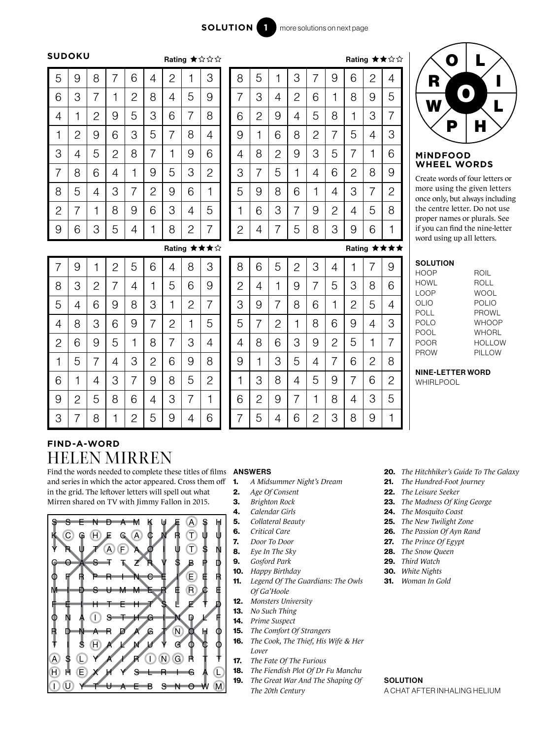$B_{\text{other}}$   $\rightarrow$   $\rightarrow$   $\rightarrow$   $\rightarrow$ 

### **SUDOKU**

|                |                |                |                |                |                | nauny          |                | <b>****</b>    |
|----------------|----------------|----------------|----------------|----------------|----------------|----------------|----------------|----------------|
| 5              | 9              | 8              | 7              | 6              | 4              | $\overline{c}$ | 1              | 3              |
| 6              | 3              | $\overline{7}$ | 1              | $\overline{c}$ | 8              | $\overline{4}$ | 5              | 9              |
| $\overline{4}$ | 1              | $\overline{c}$ | 9              | 5              | 3              | 6              | 7              | 8              |
| $\mathbf 1$    | $\overline{c}$ | 9              | 6              | 3              | 5              | 7              | 8              | 4              |
| 3              | 4              | 5              | $\overline{c}$ | 8              | 7              | 1              | 9              | 6              |
| $\overline{7}$ | 8              | 6              | 4              | 1              | 9              | 5              | 3              | $\overline{c}$ |
| 8              | 5              | $\overline{4}$ | 3              | 7              | $\overline{2}$ | 9              | 6              | 1              |
| $\overline{c}$ | 7              | 1              | 8              | 9              | 6              | 3              | 4              | 5              |
| 9              | 6              | 3              | 5              | 4              | 1              | 8              | $\overline{c}$ | 7              |

|                |                |              |                |                |                |                |   | Rating ★★☆☆    |
|----------------|----------------|--------------|----------------|----------------|----------------|----------------|---|----------------|
| 8              | 5              | 1            | 3              | 7              | 9              | 6              | 2 | 4              |
| 7              | 3              | 4            | $\overline{2}$ | 6              | 1              | 8              | 9 | 5              |
| 6              | $\overline{c}$ | 9            | 4              | 5              | 8              | 1              | 3 | 7              |
| 9              | 1              | 6            | 8              | $\overline{2}$ | 7              | 5              | 4 | 3              |
| $\overline{4}$ | 8              | $\mathbf{2}$ | 9              | 3              | 5              | 7              | 1 | 6              |
| 3              | 7              | 5            | 1              | 4              | 6              | $\overline{2}$ | 8 | 9              |
| 5              | 9              | 8            | 6              | 1              | 4              | 3              | 7 | $\overline{c}$ |
| 1              | 6              | 3            | 7              | 9              | $\overline{2}$ | 4              | 5 | 8              |
| 2              | 4              | 7            | 5              | 8              | 3              | 9              | 6 | 1              |
|                |                |              |                |                |                |                |   | Rating ★★★★    |

## ☆ O L



# **WHEEL WORDS**

Create words of four letters or more using the given letters once only, but always including the centre letter. Do not use proper names or plurals. See if you can find the nine-letter word using up all letters.

| SOLUTION |              |
|----------|--------------|
| HOOP     | ROIL         |
| HOWI     | ROLL         |
| LOOP     | <b>WOOL</b>  |
| OLIO     | POL IO       |
| POLL     | PROWL        |
| POLO     | <b>WHOOP</b> |
| POOL     | WHORI        |
| POOR     | HOLLOW       |
| PROW     | PILLOW       |
|          |              |

### NINE-LETTER WORD

WHIRLPOOL



## **FIND-A-WORD** HELEN MIRREN

Find the words needed to complete these titles of films **ANSWERS** and series in which the actor appeared. Cross them off in the grid. The leftover letters will spell out what Mirren shared on TV with Jimmy Fallon in 2015.



7

5

4

6

 $\overline{2}$ 1

3

8

9

1

© Lovatts Puzzles

5

2

8

7

3

4

6

9

3

6

2

1

4

5

8

7

4

7

6

5

9

 $\mathcal{P}$ 

3

1

8

9

7

2

6

1

5

4

5

4

9

8

6

7

3

7

4

5

3

1

8

9

2

9

8

3

6

2

7

1

5

2

3

1

8

7

9

4

6

6

1

9

4

5

3

2

8

- 1. *A Midsummer Night's Dream*
- 2. *Age Of Consent*
- 3. *Brighton Rock*
- 4. *Calendar Girls*
- 5. *Collateral Beauty*
- 6. *Critical Care*
- 7. *Door To Door*
- 8. *Eye In The Sky*
- 9. *Gosford Park*
- 10. *Happy Birthday*
- 11. *Legend Of The Guardians: The Owls*
- *Of Ga'Hoole* 12. *Monsters University*
- 13. *No Such Thing*
- 14. *Prime Suspect*
- 15. *The Comfort Of Strangers*
- 16. *The Cook, The Thief, His Wife & Her Lover*
- 17. *The Fate Of The Furious*
- 18. *The Fiendish Plot Of Dr Fu Manchu*
- 19. *The Great War And The Shaping Of The 20th Century*
- 20. *The Hitchhiker's Guide To The Galaxy*
- 21. *The Hundred-Foot Journey*
- 22. *The Leisure Seeker*
- 23. *The Madness Of King George*
- 24. *The Mosquito Coast*
- 25. *The New Twilight Zone*
- 26. *The Passion Of Ayn Rand*
- 27. *The Prince Of Egypt*
- 28. *The Snow Queen*
- 29. *Third Watch*
- 30. *White Nights*
- 31. *Woman In Gold*

**SOLUTION** A CHAT AFTER INHALING HELIUM